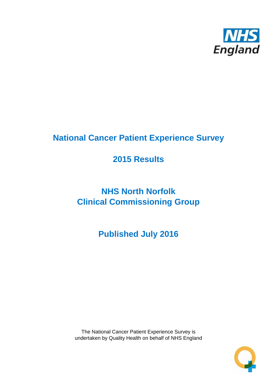

# **National Cancer Patient Experience Survey**

# **2015 Results**

# **NHS North Norfolk Clinical Commissioning Group**

**Published July 2016**

The National Cancer Patient Experience Survey is undertaken by Quality Health on behalf of NHS England

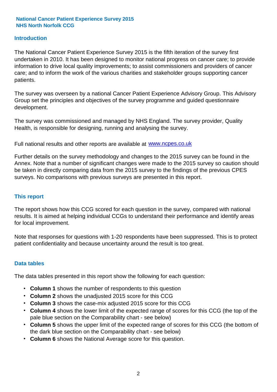### **Introduction**

The National Cancer Patient Experience Survey 2015 is the fifth iteration of the survey first undertaken in 2010. It has been designed to monitor national progress on cancer care; to provide information to drive local quality improvements; to assist commissioners and providers of cancer care; and to inform the work of the various charities and stakeholder groups supporting cancer patients.

The survey was overseen by a national Cancer Patient Experience Advisory Group. This Advisory Group set the principles and objectives of the survey programme and guided questionnaire development.

The survey was commissioned and managed by NHS England. The survey provider, Quality Health, is responsible for designing, running and analysing the survey.

Full national results and other reports are available at www.ncpes.co.uk

Further details on the survey methodology and changes to the 2015 survey can be found in the Annex. Note that a number of significant changes were made to the 2015 survey so caution should be taken in directly comparing data from the 2015 survey to the findings of the previous CPES surveys. No comparisons with previous surveys are presented in this report.

#### **This report**

The report shows how this CCG scored for each question in the survey, compared with national results. It is aimed at helping individual CCGs to understand their performance and identify areas for local improvement.

Note that responses for questions with 1-20 respondents have been suppressed. This is to protect patient confidentiality and because uncertainty around the result is too great.

#### **Data tables**

The data tables presented in this report show the following for each question:

- **Column 1** shows the number of respondents to this question
- **Column 2** shows the unadjusted 2015 score for this CCG
- **Column 3** shows the case-mix adjusted 2015 score for this CCG
- **Column 4** shows the lower limit of the expected range of scores for this CCG (the top of the pale blue section on the Comparability chart - see below)
- **Column 5** shows the upper limit of the expected range of scores for this CCG (the bottom of the dark blue section on the Comparability chart - see below)
- **Column 6** shows the National Average score for this question.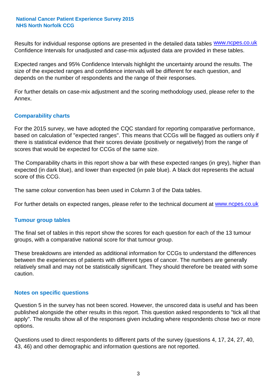Results for individual response options are presented in the detailed data tables **WWW.ncpes.co.uk** Confidence Intervals for unadjusted and case-mix adjusted data are provided in these tables.

Expected ranges and 95% Confidence Intervals highlight the uncertainty around the results. The size of the expected ranges and confidence intervals will be different for each question, and depends on the number of respondents and the range of their responses.

For further details on case-mix adjustment and the scoring methodology used, please refer to the Annex.

### **Comparability charts**

For the 2015 survey, we have adopted the CQC standard for reporting comparative performance, based on calculation of "expected ranges". This means that CCGs will be flagged as outliers only if there is statistical evidence that their scores deviate (positively or negatively) from the range of scores that would be expected for CCGs of the same size.

The Comparability charts in this report show a bar with these expected ranges (in grey), higher than expected (in dark blue), and lower than expected (in pale blue). A black dot represents the actual score of this CCG.

The same colour convention has been used in Column 3 of the Data tables.

For further details on expected ranges, please refer to the technical document at **www.ncpes.co.uk** 

#### **Tumour group tables**

The final set of tables in this report show the scores for each question for each of the 13 tumour groups, with a comparative national score for that tumour group.

These breakdowns are intended as additional information for CCGs to understand the differences between the experiences of patients with different types of cancer. The numbers are generally relatively small and may not be statistically significant. They should therefore be treated with some caution.

#### **Notes on specific questions**

Question 5 in the survey has not been scored. However, the unscored data is useful and has been published alongside the other results in this report. This question asked respondents to "tick all that apply". The results show all of the responses given including where respondents chose two or more options.

Questions used to direct respondents to different parts of the survey (questions 4, 17, 24, 27, 40, 43, 46) and other demographic and information questions are not reported.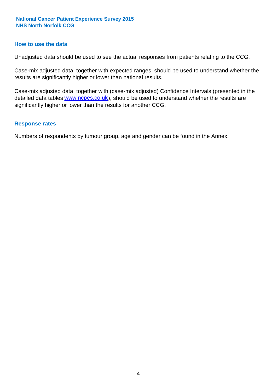#### **How to use the data**

Unadjusted data should be used to see the actual responses from patients relating to the CCG.

Case-mix adjusted data, together with expected ranges, should be used to understand whether the results are significantly higher or lower than national results.

Case-mix adjusted data, together with (case-mix adjusted) Confidence Intervals (presented in the detailed data tables **www.ncpes.co.uk**), should be used to understand whether the results are significantly higher or lower than the results for another CCG.

#### **Response rates**

Numbers of respondents by tumour group, age and gender can be found in the Annex.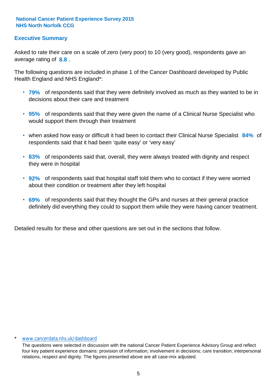### **Executive Summary**

average rating of **8.8**. Asked to rate their care on a scale of zero (very poor) to 10 (very good), respondents gave an

The following questions are included in phase 1 of the Cancer Dashboard developed by Public Health England and NHS England\*:

- **79%** of respondents said that they were definitely involved as much as they wanted to be in decisions about their care and treatment
- **95%** of respondents said that they were given the name of a Clinical Nurse Specialist who would support them through their treatment
- when asked how easy or difficult it had been to contact their Clinical Nurse Specialist 84% of respondents said that it had been 'quite easy' or 'very easy'
- **83%** of respondents said that, overall, they were always treated with dignity and respect they were in hospital
- **92%** of respondents said that hospital staff told them who to contact if they were worried about their condition or treatment after they left hospital
- **69%** of respondents said that they thought the GPs and nurses at their general practice definitely did everything they could to support them while they were having cancer treatment.

Detailed results for these and other questions are set out in the sections that follow.

#### \* www.cancerdata.nhs.uk/dashboard

The questions were selected in discussion with the national Cancer Patient Experience Advisory Group and reflect four key patient experience domains: provision of information; involvement in decisions; care transition; interpersonal relations, respect and dignity. The figures presented above are all case-mix adjusted.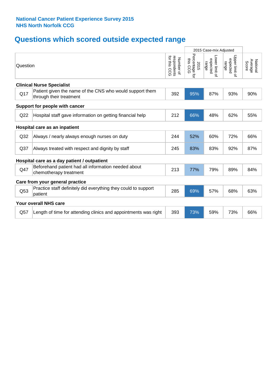# **Questions which scored outside expected range**

|                 |                                                                                     |                                             | 2015 Case-mix Adjusted              |                                     |                                     |                              |
|-----------------|-------------------------------------------------------------------------------------|---------------------------------------------|-------------------------------------|-------------------------------------|-------------------------------------|------------------------------|
| Question        |                                                                                     | respondents<br>for this<br>Number of<br>CCG | Percentage<br>this CCG<br>2015<br>đ | Lower limit of<br>expected<br>range | Upper limit of<br>expected<br>range | National<br>Average<br>Score |
|                 | <b>Clinical Nurse Specialist</b>                                                    |                                             |                                     |                                     |                                     |                              |
| Q17             | Patient given the name of the CNS who would support them<br>through their treatment | 392                                         | 95%                                 | 87%                                 | 93%                                 | 90%                          |
|                 | Support for people with cancer                                                      |                                             |                                     |                                     |                                     |                              |
| Q <sub>22</sub> | Hospital staff gave information on getting financial help                           | 212                                         | 66%                                 | 48%                                 | 62%                                 | 55%                          |
|                 | Hospital care as an inpatient                                                       |                                             |                                     |                                     |                                     |                              |
| Q <sub>32</sub> | Always / nearly always enough nurses on duty                                        | 244                                         | 52%                                 | 60%                                 | 72%                                 | 66%                          |
| Q <sub>37</sub> | Always treated with respect and dignity by staff                                    | 245                                         | 83%                                 | 83%                                 | 92%                                 | 87%                          |
|                 | Hospital care as a day patient / outpatient                                         |                                             |                                     |                                     |                                     |                              |
| Q47             | Beforehand patient had all information needed about<br>chemotherapy treatment       | 213                                         | 77%                                 | 79%                                 | 89%                                 | 84%                          |
|                 | Care from your general practice                                                     |                                             |                                     |                                     |                                     |                              |
| Q53             | Practice staff definitely did everything they could to support<br>patient           | 285                                         | 69%                                 | 57%                                 | 68%                                 | 63%                          |
|                 | <b>Your overall NHS care</b>                                                        |                                             |                                     |                                     |                                     |                              |
| Q57             | Length of time for attending clinics and appointments was right                     | 393                                         | 73%                                 | 59%                                 | 73%                                 | 66%                          |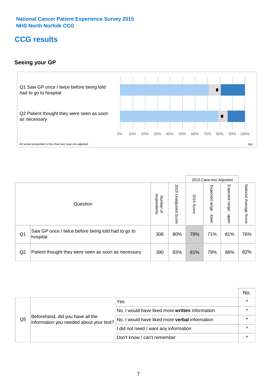# **CCG results**

### **Seeing your GP**



|    |                                                                |                                                     |                             |               | 2015 Case-mix Adjusted     |                            |                           |
|----|----------------------------------------------------------------|-----------------------------------------------------|-----------------------------|---------------|----------------------------|----------------------------|---------------------------|
|    | Question                                                       | respondents<br><b>Number</b><br>$\overline{\sigma}$ | 2015<br>Unadjusted<br>Score | 2015<br>Score | Expected<br>range<br>lower | Expected<br>range<br>nbber | National Average<br>Score |
| Q1 | Saw GP once / twice before being told had to go to<br>hospital | 306                                                 | 80%                         | 78%           | 71%                        | 81%                        | 76%                       |
| Q2 | Patient thought they were seen as soon as necessary            | 390                                                 | 83%                         | 81%           | 79%                        | 86%                        | 82%                       |

|    |                                                                             |                                                 | No. |
|----|-----------------------------------------------------------------------------|-------------------------------------------------|-----|
|    |                                                                             | Yes                                             |     |
| Q5 | Beforehand, did you have all the<br>information you needed about your test? | No, I would have liked more written information |     |
|    |                                                                             | No, I would have liked more verbal information  |     |
|    |                                                                             | I did not need / want any information           |     |
|    |                                                                             | Don't know / can't remember                     |     |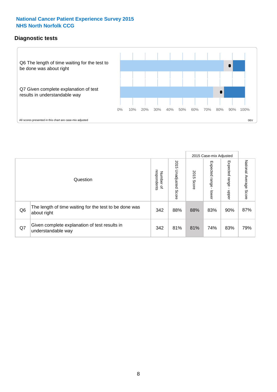### **Diagnostic tests**



|                |                                                                       |                                   |                             |               | 2015 Case-mix Adjusted  |                         |                           |
|----------------|-----------------------------------------------------------------------|-----------------------------------|-----------------------------|---------------|-------------------------|-------------------------|---------------------------|
|                | Question                                                              | respondents<br>Number<br>$\Omega$ | 2015<br>Unadjusted<br>Score | 2015<br>Score | Expected range<br>lower | Expected range<br>nbber | National Average<br>Score |
| Q <sub>6</sub> | The length of time waiting for the test to be done was<br>about right | 342                               | 88%                         | 88%           | 83%                     | 90%                     | 87%                       |
| Q7             | Given complete explanation of test results in<br>understandable way   | 342                               | 81%                         | 81%           | 74%                     | 83%                     | 79%                       |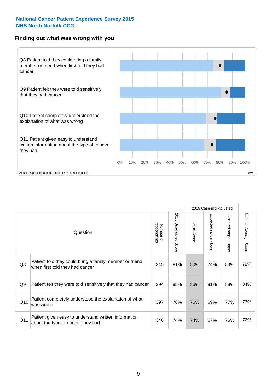#### **Finding out what was wrong with you**



|                |                                                                                            |                          |                          |               | 2015 Case-mix Adjusted                    |                                           |                        |
|----------------|--------------------------------------------------------------------------------------------|--------------------------|--------------------------|---------------|-------------------------------------------|-------------------------------------------|------------------------|
|                | Question                                                                                   | respondents<br>Number of | 2015<br>Unadjusted Score | 2015<br>Score | Expected range<br>$\blacksquare$<br>lower | Expected range<br>$\blacksquare$<br>nbber | National Average Score |
| Q8             | Patient told they could bring a family member or friend<br>when first told they had cancer | 345                      | 81%                      | 80%           | 74%                                       | 83%                                       | 79%                    |
| Q <sub>9</sub> | Patient felt they were told sensitively that they had cancer                               | 394                      | 85%                      | 85%           | 81%                                       | 88%                                       | 84%                    |
| Q10            | Patient completely understood the explanation of what<br>was wrong                         | 397                      | 78%                      | 76%           | 69%                                       | 77%                                       | 73%                    |
| Q11            | Patient given easy to understand written information<br>about the type of cancer they had  | 346                      | 74%                      | 74%           | 67%                                       | 76%                                       | 72%                    |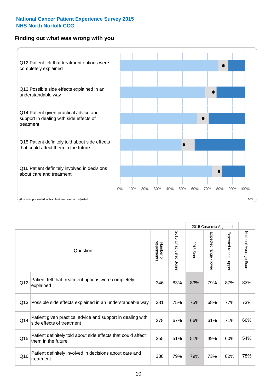### **Finding out what was wrong with you**



|     |                                                                                         |                          |                          |               | 2015 Case-mix Adjusted                  |                           |                        |
|-----|-----------------------------------------------------------------------------------------|--------------------------|--------------------------|---------------|-----------------------------------------|---------------------------|------------------------|
|     | Question                                                                                | Number of<br>respondents | 2015<br>Unadjusted Score | 2015<br>Score | Expected range<br>$\mathbf{r}$<br>lower | Expected range<br>- nbber | National Average Score |
| Q12 | Patient felt that treatment options were completely<br>explained                        | 346                      | 83%                      | 83%           | 79%                                     | 87%                       | 83%                    |
| Q13 | Possible side effects explained in an understandable way                                | 381                      | 75%                      | 75%           | 68%                                     | 77%                       | 73%                    |
| Q14 | Patient given practical advice and support in dealing with<br>side effects of treatment | 378                      | 67%                      | 66%           | 61%                                     | 71%                       | 66%                    |
| Q15 | Patient definitely told about side effects that could affect<br>them in the future      | 355                      | 51%                      | 51%           | 49%                                     | 60%                       | 54%                    |
| Q16 | Patient definitely involved in decisions about care and<br>treatment                    | 388                      | 79%                      | 79%           | 73%                                     | 82%                       | 78%                    |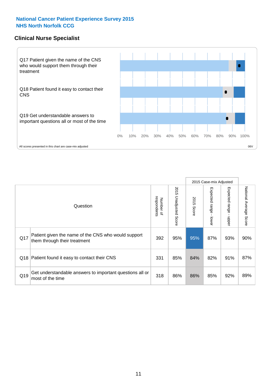### **Clinical Nurse Specialist**



|     |                                                                                     |                          |                       |               | 2015 Case-mix Adjusted  |                         |                        |
|-----|-------------------------------------------------------------------------------------|--------------------------|-----------------------|---------------|-------------------------|-------------------------|------------------------|
|     | Question                                                                            | respondents<br>Number of | 2015 Unadjusted Score | 2015<br>Score | Expected range<br>lower | Expected range<br>nbber | National Average Score |
| Q17 | Patient given the name of the CNS who would support<br>them through their treatment | 392                      | 95%                   | 95%           | 87%                     | 93%                     | 90%                    |
|     | Q18 Patient found it easy to contact their CNS                                      | 331                      | 85%                   | 84%           | 82%                     | 91%                     | 87%                    |
| Q19 | Get understandable answers to important questions all or<br>most of the time        | 318                      | 86%                   | 86%           | 85%                     | 92%                     | 89%                    |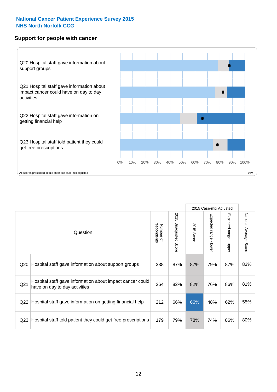### **Support for people with cancer**



|                 |                                                                                            |                          |                             |               | 2015 Case-mix Adjusted  |                                           |                        |
|-----------------|--------------------------------------------------------------------------------------------|--------------------------|-----------------------------|---------------|-------------------------|-------------------------------------------|------------------------|
|                 | Question                                                                                   | respondents<br>Number of | 2015<br>Unadjusted<br>Score | 2015<br>Score | Expected range<br>lower | Expected range<br>$\blacksquare$<br>nbber | National Average Score |
| Q <sub>20</sub> | Hospital staff gave information about support groups                                       | 338                      | 87%                         | 87%           | 79%                     | 87%                                       | 83%                    |
| Q <sub>21</sub> | Hospital staff gave information about impact cancer could<br>have on day to day activities | 264                      | 82%                         | 82%           | 76%                     | 86%                                       | 81%                    |
| Q22             | Hospital staff gave information on getting financial help                                  | 212                      | 66%                         | 66%           | 48%                     | 62%                                       | 55%                    |
| Q <sub>23</sub> | Hospital staff told patient they could get free prescriptions                              | 179                      | 79%                         | 78%           | 74%                     | 86%                                       | 80%                    |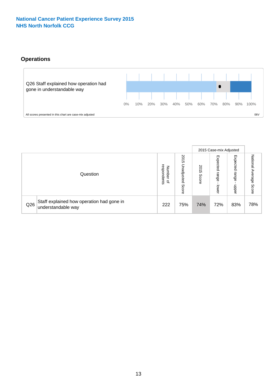# **Operations**



|     |                                                                 |                                       |                             |                   | 2015 Case-mix Adjusted     |                            |                              |
|-----|-----------------------------------------------------------------|---------------------------------------|-----------------------------|-------------------|----------------------------|----------------------------|------------------------------|
|     | Question                                                        | respondents<br>Numbe<br>≞<br>$\Omega$ | 2015<br>Unadjusted<br>Score | 201<br>c<br>Score | Expected<br>range<br>lower | Expected<br>range<br>doper | National<br>Average<br>Score |
| Q26 | Staff explained how operation had gone in<br>understandable way | 222                                   | 75%                         | 74%               | 72%                        | 83%                        | 78%                          |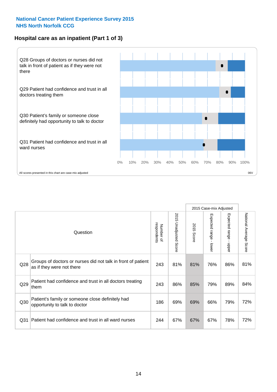### **Hospital care as an inpatient (Part 1 of 3)**



All scores presented in this chart are case-mix adjusted  $06V$ 

|                 |                                                                                           |                          |                       |               | 2015 Case-mix Adjusted                  |                                           |                        |
|-----------------|-------------------------------------------------------------------------------------------|--------------------------|-----------------------|---------------|-----------------------------------------|-------------------------------------------|------------------------|
|                 | Question                                                                                  | respondents<br>Number of | 2015 Unadjusted Score | 2015<br>Score | Expected range<br>$\mathbf{r}$<br>lower | Expected range<br>$\blacksquare$<br>nbber | National Average Score |
| Q28             | Groups of doctors or nurses did not talk in front of patient<br>as if they were not there | 243                      | 81%                   | 81%           | 76%                                     | 86%                                       | 81%                    |
| Q29             | Patient had confidence and trust in all doctors treating<br>them                          | 243                      | 86%                   | 85%           | 79%                                     | 89%                                       | 84%                    |
| Q30             | Patient's family or someone close definitely had<br>opportunity to talk to doctor         | 186                      | 69%                   | 69%           | 66%                                     | 79%                                       | 72%                    |
| Q <sub>31</sub> | Patient had confidence and trust in all ward nurses                                       | 244                      | 67%                   | 67%           | 67%                                     | 78%                                       | 72%                    |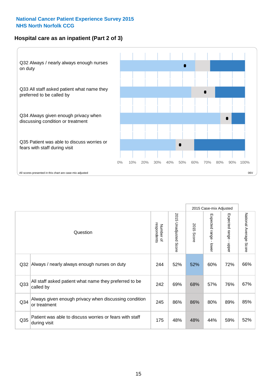### **Hospital care as an inpatient (Part 2 of 3)**



2015 Case-mix Adjusted National Average Score 2015 Unadjusted Score Expected range - lower Expected range - upper 2015 Unadjusted Score Expected range - upper Expected range - lower Number of<br>respondents respondents 2015 Score 2015 Score Number of Question Q32 244 52% 52% 60% 72% Always / nearly always enough nurses on duty 66% Q33 242 69% 68% 57% 76% All staff asked patient what name they preferred to be called by 67% Q34 Always given enough privacy when discussing condition  $\begin{array}{|c|c|c|c|c|c|}\n\hline\n\text{Q34} & \text{or } & \text{80\%} & 80\% & 89\% \\\hline\n\end{array}$ or treatment 85% Patient was able to discuss worries or fears with staff during visit during visit  $\frac{32\%}{1000}$  S2% and the star and the star and the star and the star and the star and the star and the star and the star and the star and the star and the star and the star and the star and th Q35 decision with the discussion of the control of the control of the control of the control of the control of the control of the control of the control of the control of the control of the control of the control of the co

National Average Score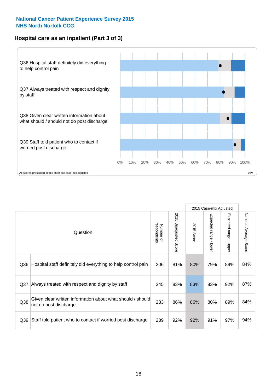### **Hospital care as an inpatient (Part 3 of 3)**



|                 |                                                                                     |                          |                                 |               | 2015 Case-mix Adjusted                    |                                           |                        |
|-----------------|-------------------------------------------------------------------------------------|--------------------------|---------------------------------|---------------|-------------------------------------------|-------------------------------------------|------------------------|
|                 | Question                                                                            | respondents<br>Number of | 2015<br><b>Unadjusted Score</b> | 2015<br>Score | Expected range<br>$\blacksquare$<br>lower | Expected range<br>$\blacksquare$<br>nbber | National Average Score |
| Q36             | Hospital staff definitely did everything to help control pain                       | 206                      | 81%                             | 80%           | 79%                                       | 89%                                       | 84%                    |
| Q <sub>37</sub> | Always treated with respect and dignity by staff                                    | 245                      | 83%                             | 83%           | 83%                                       | 92%                                       | 87%                    |
| Q38             | Given clear written information about what should / should<br>not do post discharge | 233                      | 86%                             | 86%           | 80%                                       | 89%                                       | 84%                    |
| Q <sub>39</sub> | Staff told patient who to contact if worried post discharge                         | 239                      | 92%                             | 92%           | 91%                                       | 97%                                       | 94%                    |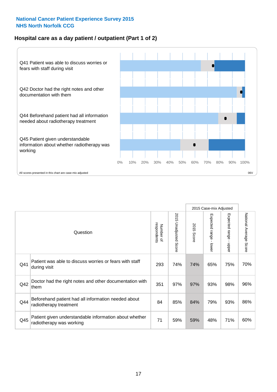### **Hospital care as a day patient / outpatient (Part 1 of 2)**



|     |                                                                                    |                          |                                 |                      | 2015 Case-mix Adjusted                  |                                         |                        |
|-----|------------------------------------------------------------------------------------|--------------------------|---------------------------------|----------------------|-----------------------------------------|-----------------------------------------|------------------------|
|     | Question                                                                           | respondents<br>Number of | 2015<br><b>Unadjusted Score</b> | 2015<br><b>Score</b> | Expected range<br>$\mathbf{r}$<br>lower | Expected range<br>$\mathbf{I}$<br>nbber | National Average Score |
| Q41 | Patient was able to discuss worries or fears with staff<br>during visit            | 293                      | 74%                             | 74%                  | 65%                                     | 75%                                     | 70%                    |
| Q42 | Doctor had the right notes and other documentation with<br>them                    | 351                      | 97%                             | 97%                  | 93%                                     | 98%                                     | 96%                    |
| Q44 | Beforehand patient had all information needed about<br>radiotherapy treatment      | 84                       | 85%                             | 84%                  | 79%                                     | 93%                                     | 86%                    |
| Q45 | Patient given understandable information about whether<br>radiotherapy was working | 71                       | 59%                             | 59%                  | 48%                                     | 71%                                     | 60%                    |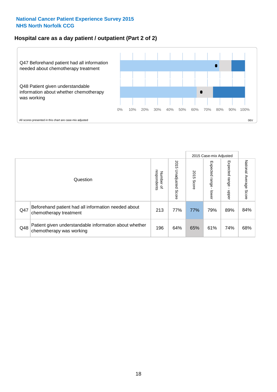### **Hospital care as a day patient / outpatient (Part 2 of 2)**



|     |                                                                                    |                                       |                             |               | 2015 Case-mix Adjusted       |                         |                           |
|-----|------------------------------------------------------------------------------------|---------------------------------------|-----------------------------|---------------|------------------------------|-------------------------|---------------------------|
|     | Question                                                                           | respondents<br>Number<br>$\mathbf{Q}$ | 2015<br>Unadjusted<br>Score | 2015<br>Score | Expected<br>I range<br>lower | Expected range<br>nbber | National Average<br>Score |
| Q47 | Beforehand patient had all information needed about<br>chemotherapy treatment      | 213                                   | 77%                         | 77%           | 79%                          | 89%                     | 84%                       |
| Q48 | Patient given understandable information about whether<br>chemotherapy was working | 196                                   | 64%                         | 65%           | 61%                          | 74%                     | 68%                       |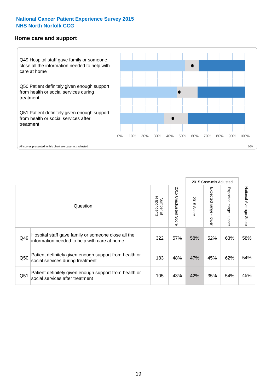#### **Home care and support**



2015 Case-mix Adjusted 2015 Unadjusted Score Expected range - upper National Average Score 2015 Unadjusted Score Expected range - lower National Average Score Expected range - lower Expected range - upper Number of<br>respondents respondents 2015 Score 2015 Score Number of Question Hospital staff gave family or someone close all the  $Q49$  information needed to help with care at home  $322$  |  $57\%$  |  $58\%$  |  $52\%$  |  $63\%$  |  $58\%$ Patient definitely given enough support from health or  $\frac{183}{\sqrt{183}}$  and services during treatment  $\frac{183}{\sqrt{183}}$   $\frac{48\%}{\sqrt{183}}$   $\frac{47\%}{\sqrt{183}}$   $\frac{45\%}{\sqrt{183}}$  62%  $\frac{62\%}{\sqrt{183}}$ Patient definitely given enough support from health or  $\frac{1}{2}$  and the dominary given enough support nominealities  $\frac{1}{2}$  and  $\frac{1}{2}$  43% 42% 35% 54% 45%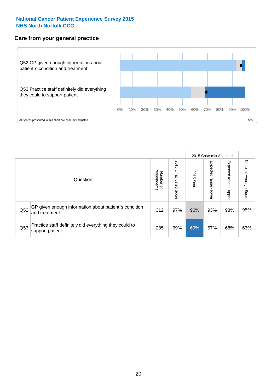### **Care from your general practice**



|     |                                                                           |                                       |                             |               | 2015 Case-mix Adjusted  |                            |                           |
|-----|---------------------------------------------------------------------------|---------------------------------------|-----------------------------|---------------|-------------------------|----------------------------|---------------------------|
|     | Question                                                                  | respondents<br>Number<br>$\mathbf{Q}$ | 2015<br>Unadjusted<br>Score | 2015<br>Score | Expected range<br>lower | Expected<br>range<br>nbper | National Average<br>Score |
| Q52 | GP given enough information about patient's condition<br>and treatment    | 312                                   | 97%                         | 96%           | 93%                     | 98%                        | 95%                       |
| Q53 | Practice staff definitely did everything they could to<br>support patient | 285                                   | 69%                         | 69%           | 57%                     | 68%                        | 63%                       |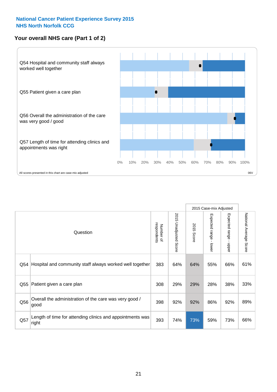# **Your overall NHS care (Part 1 of 2)**



|     |                                                                    |                          |                                 | 2015 Case-mix Adjusted |                         |                                           |                        |
|-----|--------------------------------------------------------------------|--------------------------|---------------------------------|------------------------|-------------------------|-------------------------------------------|------------------------|
|     | Question                                                           | respondents<br>Number of | 2015<br><b>Unadjusted Score</b> | 2015<br><b>Score</b>   | Expected range<br>lower | Expected range<br>$\blacksquare$<br>nbber | National Average Score |
| Q54 | Hospital and community staff always worked well together           | 383                      | 64%                             | 64%                    | 55%                     | 66%                                       | 61%                    |
| Q55 | Patient given a care plan                                          | 308                      | 29%                             | 29%                    | 28%                     | 38%                                       | 33%                    |
| Q56 | Overall the administration of the care was very good /<br>good     | 398                      | 92%                             | 92%                    | 86%                     | 92%                                       | 89%                    |
| Q57 | Length of time for attending clinics and appointments was<br>right | 393                      | 74%                             | 73%                    | 59%                     | 73%                                       | 66%                    |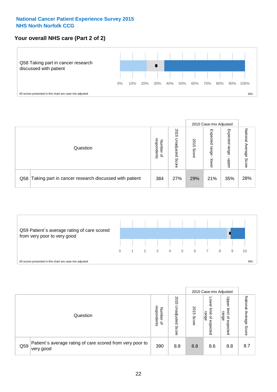### **Your overall NHS care (Part 2 of 2)**



|     |                                                       |                                         |                             |               | 2015 Case-mix Adjusted     |                            |                        |
|-----|-------------------------------------------------------|-----------------------------------------|-----------------------------|---------------|----------------------------|----------------------------|------------------------|
|     | Question                                              | respondents<br>Number<br>$\overline{a}$ | 2015<br>Jnadjusted<br>Score | 2015<br>Score | Expected<br>range<br>lower | Expected<br>range<br>doper | National Average Score |
| Q58 | Taking part in cancer research discussed with patient | 384                                     | 27%                         | 29%           | 21%                        | 35%                        | 28%                    |



|     |                                                                        |                                   |                             | 2015 Case-mix Adjusted |                                                           |                                                       |                              |
|-----|------------------------------------------------------------------------|-----------------------------------|-----------------------------|------------------------|-----------------------------------------------------------|-------------------------------------------------------|------------------------------|
|     | Question                                                               | respondents<br>Number<br>$\Omega$ | 2015<br>Jnadjusted<br>Score | 2015<br>Score          | OWer<br>limit<br>range<br>$\overline{\sigma}$<br>expected | Upper<br>limit<br>range<br>$\overline{a}$<br>expected | National<br>Average<br>Score |
| Q59 | Patient's average rating of care scored from very poor to<br>very good | 390                               | 8.8                         | 8.8                    | 8.6                                                       | 8.8                                                   | 8.7                          |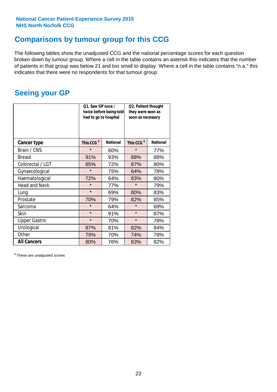# **Comparisons by tumour group for this CCG**

The following tables show the unadjusted CCG and the national percentage scores for each question broken down by tumour group. Where a cell in the table contains an asterisk this indicates that the number of patients in that group was below 21 and too small to display. Where a cell in the table contains "n.a." this indicates that there were no respondents for that tumour group.

# **Seeing your GP**

|                      | Q1. Saw GP once /<br>had to go to hospital | twice before being told | Q2. Patient thought<br>they were seen as<br>soon as necessary |                 |  |
|----------------------|--------------------------------------------|-------------------------|---------------------------------------------------------------|-----------------|--|
| <b>Cancer type</b>   | This CCG <sup>\$</sup>                     | <b>National</b>         | This CCG <sup>\$</sup>                                        | <b>National</b> |  |
| Brain / CNS          | $\star$                                    | 60%                     | $\star$                                                       | 77%             |  |
| <b>Breast</b>        | 91%                                        | 93%                     | 88%                                                           | 88%             |  |
| Colorectal / LGT     | 85%                                        | 72%                     | 87%                                                           | 80%             |  |
| Gynaecological       | $\star$                                    | 75%                     | 64%                                                           | 78%             |  |
| Haematological       | 72%                                        | 64%                     | 83%                                                           | 80%             |  |
| <b>Head and Neck</b> | $\star$                                    | 77%                     | $\star$                                                       | 79%             |  |
| Lung                 | $\star$                                    | 69%                     | 80%                                                           | 83%             |  |
| Prostate             | 70%                                        | 79%                     | 82%                                                           | 85%             |  |
| Sarcoma              | $\star$                                    | 64%                     | $\star$                                                       | 69%             |  |
| Skin                 | $\star$                                    | 91%                     | $\star$                                                       | 87%             |  |
| <b>Upper Gastro</b>  | $\star$                                    | 70%                     | $\star$                                                       | 78%             |  |
| Urological           | 87%                                        | 81%                     | 82%                                                           | 84%             |  |
| Other                | 79%                                        | 70%                     | 74%                                                           | 78%             |  |
| <b>All Cancers</b>   | 80%                                        | 76%                     | 83%                                                           | 82%             |  |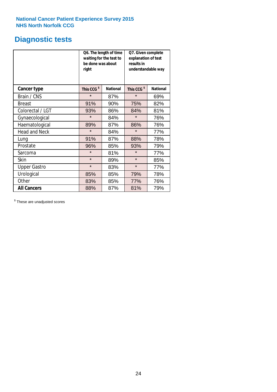# **Diagnostic tests**

|                      | be done was about<br>right | Q6. The length of time<br>waiting for the test to | Q7. Given complete<br>explanation of test<br>results in<br>understandable way |                 |  |
|----------------------|----------------------------|---------------------------------------------------|-------------------------------------------------------------------------------|-----------------|--|
| <b>Cancer type</b>   | This CCG <sup>\$</sup>     | <b>National</b>                                   | This CCG <sup>\$</sup>                                                        | <b>National</b> |  |
| Brain / CNS          | $\star$                    | 87%                                               | $\star$                                                                       | 69%             |  |
| <b>Breast</b>        | 91%                        | 90%                                               | 75%                                                                           | 82%             |  |
| Colorectal / LGT     | 93%                        | 86%                                               | 84%                                                                           | 81%             |  |
| Gynaecological       | $\star$                    | 84%                                               | $\star$                                                                       | 76%             |  |
| Haematological       | 89%                        | 87%                                               | 86%                                                                           | 76%             |  |
| <b>Head and Neck</b> | $\star$                    | 84%                                               | $\star$                                                                       | 77%             |  |
| Lung                 | 91%                        | 87%                                               | 88%                                                                           | 78%             |  |
| Prostate             | 96%                        | 85%                                               | 93%                                                                           | 79%             |  |
| Sarcoma              | $\star$                    | 81%                                               | $\star$                                                                       | 77%             |  |
| Skin                 | $\star$                    | 89%                                               | $\star$                                                                       | 85%             |  |
| <b>Upper Gastro</b>  | $\star$                    | 83%                                               | $\star$                                                                       | 77%             |  |
| Urological           | 85%                        | 85%                                               | 79%                                                                           | 78%             |  |
| Other                | 83%                        | 85%                                               | 77%                                                                           | 76%             |  |
| <b>All Cancers</b>   | 88%                        | 87%                                               | 81%                                                                           | 79%             |  |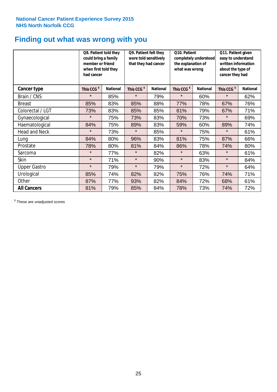# **Finding out what was wrong with you**

|                      | Q8. Patient told they<br>could bring a family<br>member or friend<br>when first told they<br>had cancer |                 | Q9. Patient felt they<br>were told sensitively<br>that they had cancer |                 | Q10. Patient<br>completely understood<br>the explanation of<br>what was wrong |                 | Q11. Patient given<br>easy to understand<br>written information<br>about the type of<br>cancer they had |                 |
|----------------------|---------------------------------------------------------------------------------------------------------|-----------------|------------------------------------------------------------------------|-----------------|-------------------------------------------------------------------------------|-----------------|---------------------------------------------------------------------------------------------------------|-----------------|
| Cancer type          | This CCG <sup>\$</sup>                                                                                  | <b>National</b> | This CCG <sup>\$</sup>                                                 | <b>National</b> | This CCG <sup>\$</sup>                                                        | <b>National</b> | This CCG <sup>\$</sup>                                                                                  | <b>National</b> |
| Brain / CNS          | $\star$                                                                                                 | 85%             | $\star$                                                                | 79%             | $\star$                                                                       | 60%             | $\star$                                                                                                 | 62%             |
| <b>Breast</b>        | 85%                                                                                                     | 83%             | 85%                                                                    | 88%             | 77%                                                                           | 78%             | 67%                                                                                                     | 76%             |
| Colorectal / LGT     | 73%                                                                                                     | 83%             | 85%                                                                    | 85%             | 81%                                                                           | 79%             | 67%                                                                                                     | 71%             |
| Gynaecological       | $\star$                                                                                                 | 75%             | 73%                                                                    | 83%             | 70%                                                                           | 73%             | $\star$                                                                                                 | 69%             |
| Haematological       | 84%                                                                                                     | 75%             | 89%                                                                    | 83%             | 59%                                                                           | 60%             | 89%                                                                                                     | 74%             |
| <b>Head and Neck</b> | $\star$                                                                                                 | 73%             | $\star$                                                                | 85%             | $\star$                                                                       | 75%             | $\star$                                                                                                 | 61%             |
| Lung                 | 84%                                                                                                     | 80%             | 96%                                                                    | 83%             | 81%                                                                           | 75%             | 87%                                                                                                     | 66%             |
| Prostate             | 78%                                                                                                     | 80%             | 81%                                                                    | 84%             | 86%                                                                           | 78%             | 74%                                                                                                     | 80%             |
| Sarcoma              | $\star$                                                                                                 | 77%             | $\star$                                                                | 82%             | $\star$                                                                       | 63%             | $\star$                                                                                                 | 61%             |
| Skin                 | $\star$                                                                                                 | 71%             | $\star$                                                                | 90%             | $\star$                                                                       | 83%             | $\star$                                                                                                 | 84%             |
| <b>Upper Gastro</b>  | $\star$                                                                                                 | 79%             | $\star$                                                                | 79%             | $\star$                                                                       | 72%             | $\star$                                                                                                 | 64%             |
| Urological           | 85%                                                                                                     | 74%             | 82%                                                                    | 82%             | 75%                                                                           | 76%             | 74%                                                                                                     | 71%             |
| Other                | 87%                                                                                                     | 77%             | 93%                                                                    | 82%             | 84%                                                                           | 72%             | 68%                                                                                                     | 61%             |
| <b>All Cancers</b>   | 81%                                                                                                     | 79%             | 85%                                                                    | 84%             | 78%                                                                           | 73%             | 74%                                                                                                     | 72%             |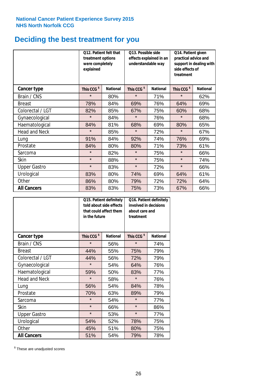# **Deciding the best treatment for you**

|                      | Q12. Patient felt that<br>treatment options<br>were completely<br>explained |                 | Q13. Possible side<br>understandable way | effects explained in an | Q14. Patient given<br>practical advice and<br>support in dealing with<br>side effects of<br>treatment |                 |  |
|----------------------|-----------------------------------------------------------------------------|-----------------|------------------------------------------|-------------------------|-------------------------------------------------------------------------------------------------------|-----------------|--|
| Cancer type          | This CCG <sup>\$</sup>                                                      | <b>National</b> | This CCG <sup>\$</sup>                   | <b>National</b>         | This CCG <sup>\$</sup>                                                                                | <b>National</b> |  |
| Brain / CNS          | $\star$                                                                     | 80%             | $\star$                                  | 71%                     | $\star$                                                                                               | 62%             |  |
| <b>Breast</b>        | 78%                                                                         | 84%             | 69%                                      | 76%                     | 64%                                                                                                   | 69%             |  |
| Colorectal / LGT     | 82%                                                                         | 85%             | 67%                                      | 75%                     | 60%                                                                                                   | 68%             |  |
| Gynaecological       | $\star$                                                                     | 84%             | $\star$                                  | 76%                     | $\star$                                                                                               | 68%             |  |
| Haematological       | 84%                                                                         | 81%             | 68%                                      | 69%                     | 80%                                                                                                   | 65%             |  |
| <b>Head and Neck</b> | $\star$                                                                     | 85%             | $\star$                                  | 72%                     | $\star$                                                                                               | 67%             |  |
| Lung                 | 91%                                                                         | 84%             | 92%                                      | 74%                     | 76%                                                                                                   | 69%             |  |
| Prostate             | 84%                                                                         | 80%             | 80%                                      | 71%                     | 73%                                                                                                   | 61%             |  |
| Sarcoma              | $\star$                                                                     | 82%             | $\star$                                  | 75%                     | $\star$                                                                                               | 66%             |  |
| Skin                 | $\star$                                                                     | 88%             | $\star$                                  | 75%                     | $\star$                                                                                               | 74%             |  |
| <b>Upper Gastro</b>  | $\star$                                                                     | 83%             | $\star$                                  | 72%                     | $\star$                                                                                               | 66%             |  |
| Urological           | 83%                                                                         | 80%             | 74%                                      | 69%                     | 64%                                                                                                   | 61%             |  |
| Other                | 86%                                                                         | 80%             | 79%                                      | 72%                     | 72%                                                                                                   | 64%             |  |
| <b>All Cancers</b>   | 83%                                                                         | 83%             | 75%                                      | 73%                     | 67%                                                                                                   | 66%             |  |

|                      | in the future          | Q15. Patient definitely<br>told about side effects<br>that could affect them | Q16. Patient definitely<br>involved in decisions<br>about care and<br>treatment |                 |  |
|----------------------|------------------------|------------------------------------------------------------------------------|---------------------------------------------------------------------------------|-----------------|--|
| <b>Cancer type</b>   | This CCG <sup>\$</sup> | <b>National</b>                                                              | This CCG <sup>\$</sup>                                                          | <b>National</b> |  |
| Brain / CNS          | $\star$                | 56%                                                                          | $\star$                                                                         | 74%             |  |
| <b>Breast</b>        | 44%                    | 55%                                                                          | 75%                                                                             | 79%             |  |
| Colorectal / LGT     | 44%                    | 56%                                                                          | 72%                                                                             | 79%             |  |
| Gynaecological       | $\star$                | 54%                                                                          |                                                                                 | 76%             |  |
| Haematological       | 50%<br>59%             |                                                                              | 83%                                                                             | 77%             |  |
| <b>Head and Neck</b> | $\star$                | 58%                                                                          | $\star$                                                                         | 76%             |  |
| Lung                 | 56%                    | 54%                                                                          | 84%                                                                             | 78%             |  |
| Prostate             | 70%                    | 63%                                                                          | 89%                                                                             | 79%             |  |
| Sarcoma              | $\star$                | 54%                                                                          | $\star$                                                                         | 77%             |  |
| Skin                 | $\star$                | 66%                                                                          | $\star$                                                                         | 86%             |  |
| <b>Upper Gastro</b>  | $\star$                | 53%                                                                          | $\star$                                                                         | 77%             |  |
| Urological           | 54%                    | 52%                                                                          | 78%                                                                             | 75%             |  |
| Other                | 45%                    | 51%                                                                          | 80%                                                                             | 75%             |  |
| <b>All Cancers</b>   | 51%                    | 54%                                                                          | 79%                                                                             | 78%             |  |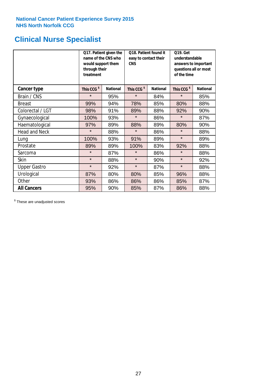# **Clinical Nurse Specialist**

|                      | would support them<br>through their<br>treatment | Q17. Patient given the<br>name of the CNS who | Q18. Patient found it<br>easy to contact their<br><b>CNS</b> |                 | <b>Q19. Get</b><br>understandable<br>answers to important<br>questions all or most<br>of the time |                 |  |
|----------------------|--------------------------------------------------|-----------------------------------------------|--------------------------------------------------------------|-----------------|---------------------------------------------------------------------------------------------------|-----------------|--|
| <b>Cancer type</b>   | This CCG <sup>\$</sup>                           | <b>National</b>                               | This CCG <sup>\$</sup>                                       | <b>National</b> | This CCG <sup>\$</sup>                                                                            | <b>National</b> |  |
| Brain / CNS          | $\star$                                          | 95%                                           | $\star$                                                      | 84%             | $\star$                                                                                           | 85%             |  |
| <b>Breast</b>        | 99%                                              | 94%                                           | 78%                                                          | 85%             | 80%                                                                                               | 88%             |  |
| Colorectal / LGT     | 98%                                              | 91%                                           | 89%                                                          | 88%             | 92%                                                                                               | 90%             |  |
| Gynaecological       | 100%                                             | 93%                                           | $\star$                                                      | 86%             | $\star$                                                                                           | 87%             |  |
| Haematological       | 97%                                              | 89%                                           | 88%                                                          | 89%             | 80%                                                                                               | 90%             |  |
| <b>Head and Neck</b> | $\star$                                          | 88%                                           | $\star$                                                      | 86%             | $\star$                                                                                           | 88%             |  |
| Lung                 | 100%                                             | 93%                                           | 91%                                                          | 89%             | $\star$                                                                                           | 89%             |  |
| Prostate             | 89%                                              | 89%                                           | 100%                                                         | 83%             | 92%                                                                                               | 88%             |  |
| Sarcoma              | $\star$                                          | 87%                                           | $\star$                                                      | 86%             | $\star$                                                                                           | 88%             |  |
| Skin                 | $\star$                                          | 88%                                           | $\star$                                                      | 90%             | $\star$                                                                                           | 92%             |  |
| <b>Upper Gastro</b>  | $\star$                                          | 92%                                           | $\star$                                                      | 87%             | $\star$                                                                                           | 88%             |  |
| Urological           | 87%                                              | 80%                                           | 80%                                                          | 85%             | 96%                                                                                               | 88%             |  |
| Other                | 93%                                              | 86%                                           | 86%                                                          | 86%             | 85%                                                                                               | 87%             |  |
| <b>All Cancers</b>   | 95%                                              | 90%                                           | 85%                                                          | 87%             | 86%                                                                                               | 88%             |  |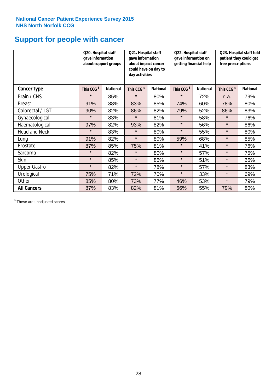# **Support for people with cancer**

|                      | Q20. Hospital staff<br>gave information | about support groups | Q21. Hospital staff<br>gave information<br>about impact cancer<br>could have on day to<br>day activities |                 |                        | Q22. Hospital staff<br>gave information on<br>getting financial help |                        | Q23. Hospital staff told<br>patient they could get<br>free prescriptions |  |
|----------------------|-----------------------------------------|----------------------|----------------------------------------------------------------------------------------------------------|-----------------|------------------------|----------------------------------------------------------------------|------------------------|--------------------------------------------------------------------------|--|
| Cancer type          | This CCG <sup>\$</sup>                  | <b>National</b>      | This CCG <sup>\$</sup>                                                                                   | <b>National</b> | This CCG <sup>\$</sup> | <b>National</b>                                                      | This CCG <sup>\$</sup> | <b>National</b>                                                          |  |
| Brain / CNS          | $\star$                                 | 85%                  | $\star$                                                                                                  | 80%             | $\star$                | 72%                                                                  | n.a.                   | 79%                                                                      |  |
| <b>Breast</b>        | 91%                                     | 88%                  | 83%                                                                                                      | 85%             | 74%                    | 60%                                                                  | 78%                    | 80%                                                                      |  |
| Colorectal / LGT     | 90%                                     | 82%                  | 86%                                                                                                      | 82%             | 79%                    | 52%                                                                  | 86%                    | 83%                                                                      |  |
| Gynaecological       | $\star$                                 | 83%                  | $\star$                                                                                                  | 81%             | $\star$                | 58%                                                                  | $\star$                | 76%                                                                      |  |
| Haematological       | 97%                                     | 82%                  | 93%                                                                                                      | 82%             | $\star$                | 56%                                                                  | $\star$                | 86%                                                                      |  |
| <b>Head and Neck</b> | $\star$                                 | 83%                  | $\star$                                                                                                  | 80%             | $\star$                | 55%                                                                  | $\star$                | 80%                                                                      |  |
| Lung                 | 91%                                     | 82%                  | $\star$                                                                                                  | 80%             | 59%                    | 68%                                                                  | $\star$                | 85%                                                                      |  |
| Prostate             | 87%                                     | 85%                  | 75%                                                                                                      | 81%             | $\star$                | 41%                                                                  | $\star$                | 76%                                                                      |  |
| Sarcoma              | $\star$                                 | 82%                  | $\star$                                                                                                  | 80%             | $\star$                | 57%                                                                  | $\star$                | 75%                                                                      |  |
| Skin                 | $\star$                                 | 85%                  | $\star$                                                                                                  | 85%             | $\star$                | 51%                                                                  | $\star$                | 65%                                                                      |  |
| <b>Upper Gastro</b>  | $\star$                                 | 82%                  | $\star$                                                                                                  | 78%             | $\star$                | 57%                                                                  | $\star$                | 83%                                                                      |  |
| Urological           | 75%                                     | 71%                  | 72%                                                                                                      | 70%             | $\star$                | 33%                                                                  | $\star$                | 69%                                                                      |  |
| Other                | 85%                                     | 80%                  | 73%                                                                                                      | 77%             | 46%                    | 53%                                                                  | $\star$                | 79%                                                                      |  |
| <b>All Cancers</b>   | 87%                                     | 83%                  | 82%                                                                                                      | 81%             | 66%                    | 55%                                                                  | 79%                    | 80%                                                                      |  |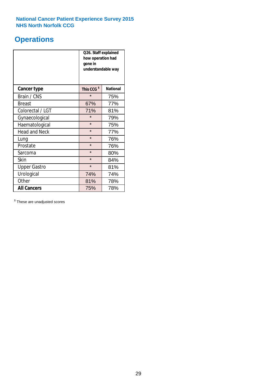# **Operations**

|                      | Q26. Staff explained<br>how operation had<br>gone in<br>understandable way |                 |  |  |
|----------------------|----------------------------------------------------------------------------|-----------------|--|--|
| <b>Cancer type</b>   | This CCG <sup>\$</sup>                                                     | <b>National</b> |  |  |
| Brain / CNS          | $\star$                                                                    | 75%             |  |  |
| <b>Breast</b>        | 67%                                                                        | 77%             |  |  |
| Colorectal / LGT     | 71%                                                                        | 81%             |  |  |
| Gynaecological       | $\star$                                                                    | 79%             |  |  |
| Haematological       | $\star$                                                                    | 75%             |  |  |
| <b>Head and Neck</b> | $\star$                                                                    | 77%             |  |  |
| Lung                 | $\star$                                                                    | 76%             |  |  |
| Prostate             | $\star$                                                                    | 76%             |  |  |
| Sarcoma              | $\star$                                                                    | 80%             |  |  |
| Skin                 | $\star$                                                                    | 84%             |  |  |
| <b>Upper Gastro</b>  | $\star$                                                                    | 81%             |  |  |
| Urological           | 74%                                                                        | 74%             |  |  |
| Other                | 81%<br>78%                                                                 |                 |  |  |
| <b>All Cancers</b>   | 75%                                                                        | 78%             |  |  |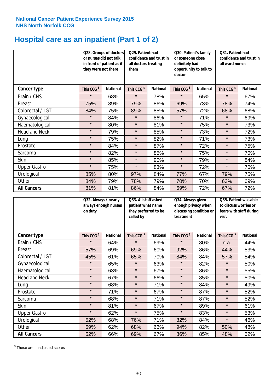# **Hospital care as an inpatient (Part 1 of 2)**

|                      | Q28. Groups of doctors<br>or nurses did not talk<br>in front of patient as if<br>they were not there |                 | Q29. Patient had<br>confidence and trust in<br>all doctors treating<br>them |                 | Q30. Patient's family<br>or someone close<br>definitely had<br>opportunity to talk to<br>doctor |                 | Q31. Patient had<br>confidence and trust in I<br>all ward nurses |                 |
|----------------------|------------------------------------------------------------------------------------------------------|-----------------|-----------------------------------------------------------------------------|-----------------|-------------------------------------------------------------------------------------------------|-----------------|------------------------------------------------------------------|-----------------|
| Cancer type          | This CCG <sup>\$</sup>                                                                               | <b>National</b> | This CCG <sup>\$</sup>                                                      | <b>National</b> | This CCG <sup>\$</sup>                                                                          | <b>National</b> | This CCG <sup>\$</sup>                                           | <b>National</b> |
| Brain / CNS          | $\star$                                                                                              | 68%             | $\star$                                                                     | 78%             | $\star$                                                                                         | 65%             | $\star$                                                          | 67%             |
| <b>Breast</b>        | 75%                                                                                                  | 89%             | 79%                                                                         | 86%             | 69%                                                                                             | 73%             | 78%                                                              | 74%             |
| Colorectal / LGT     | 84%                                                                                                  | 75%             | 89%                                                                         | 85%             | 57%                                                                                             | 72%             | 68%                                                              | 68%             |
| Gynaecological       | $\star$                                                                                              | 84%             | $\star$                                                                     | 86%             | $\star$                                                                                         | 71%             | $\star$                                                          | 69%             |
| Haematological       | $\star$                                                                                              | 80%             | $\star$                                                                     | 81%             | $\star$                                                                                         | 75%             | $\star$                                                          | 73%             |
| <b>Head and Neck</b> | $\star$                                                                                              | 79%             | $\star$                                                                     | 85%             | $\star$                                                                                         | 73%             | $\star$                                                          | 72%             |
| Lung                 | $\star$                                                                                              | 75%             | $\star$                                                                     | 82%             | $\star$                                                                                         | 71%             | $\star$                                                          | 73%             |
| Prostate             | $\star$                                                                                              | 84%             | $\star$                                                                     | 87%             | $\star$                                                                                         | 72%             | $\star$                                                          | 75%             |
| Sarcoma              | $\star$                                                                                              | 82%             | $\star$                                                                     | 85%             | $\star$                                                                                         | 75%             | $\star$                                                          | 70%             |
| Skin                 | $\star$                                                                                              | 85%             | $\star$                                                                     | 90%             | $\star$                                                                                         | 79%             | $\star$                                                          | 84%             |
| <b>Upper Gastro</b>  | $\star$                                                                                              | 75%             | $\star$                                                                     | 83%             | $\star$                                                                                         | 72%             | $\star$                                                          | 70%             |
| Urological           | 85%                                                                                                  | 80%             | 97%                                                                         | 84%             | 77%                                                                                             | 67%             | 79%                                                              | 75%             |
| Other                | 84%                                                                                                  | 79%             | 78%                                                                         | 79%             | 70%                                                                                             | 70%             | 63%                                                              | 69%             |
| <b>All Cancers</b>   | 81%                                                                                                  | 81%             | 86%                                                                         | 84%             | 69%                                                                                             | 72%             | 67%                                                              | 72%             |

|                      | Q32. Always / nearly<br>always enough nurses<br>on duty |                 | Q33. All staff asked<br>patient what name<br>they preferred to be<br>called by |                 | Q34. Always given<br>enough privacy when<br>discussing condition or<br>treatment |                 | Q35. Patient was able<br>to discuss worries or<br>fears with staff during<br>visit |                 |
|----------------------|---------------------------------------------------------|-----------------|--------------------------------------------------------------------------------|-----------------|----------------------------------------------------------------------------------|-----------------|------------------------------------------------------------------------------------|-----------------|
| <b>Cancer type</b>   | This CCG <sup>\$</sup>                                  | <b>National</b> | This CCG <sup>\$</sup>                                                         | <b>National</b> | This CCG <sup>\$</sup>                                                           | <b>National</b> | This CCG <sup>\$</sup>                                                             | <b>National</b> |
| Brain / CNS          | $\star$                                                 | 64%             | $\star$                                                                        | 69%             | $\star$                                                                          | 80%             | n.a.                                                                               | 44%             |
| <b>Breast</b>        | 57%                                                     | 69%             | 69%                                                                            | 60%             | 92%                                                                              | 86%             | 44%                                                                                | 53%             |
| Colorectal / LGT     | 45%                                                     | 61%             | 65%                                                                            | 70%             | 84%                                                                              | 84%             | 57%                                                                                | 54%             |
| Gynaecological       | $\star$                                                 | 65%             | $\star$                                                                        | 63%             | $\star$                                                                          | 82%             | $\star$                                                                            | 50%             |
| Haematological       | $\star$                                                 | 63%             | $\star$                                                                        | 67%             | $\star$                                                                          | 86%             | $\star$                                                                            | 55%             |
| <b>Head and Neck</b> | $\star$                                                 | 67%             | $\star$                                                                        | 66%             | $\star$                                                                          | 85%             | $\star$                                                                            | 50%             |
| Lung                 | $\star$                                                 | 68%             | $\star$                                                                        | 71%             | $\star$                                                                          | 84%             | $\star$                                                                            | 49%             |
| Prostate             | $\star$                                                 | 71%             | $\star$                                                                        | 67%             | $\star$                                                                          | 87%             | $\star$                                                                            | 52%             |
| Sarcoma              | $\star$                                                 | 68%             | $\star$                                                                        | 71%             | $\star$                                                                          | 87%             | $\star$                                                                            | 52%             |
| Skin                 | $\star$                                                 | 81%             | $\star$                                                                        | 67%             | $\star$                                                                          | 89%             | $\star$                                                                            | 61%             |
| <b>Upper Gastro</b>  | $\star$                                                 | 62%             | $\star$                                                                        | 75%             | $\star$                                                                          | 83%             | $\star$                                                                            | 53%             |
| Urological           | 52%                                                     | 68%             | 76%                                                                            | 71%             | 82%                                                                              | 84%             | $\star$                                                                            | 46%             |
| Other                | 59%                                                     | 62%             | 68%                                                                            | 66%             | 94%                                                                              | 82%             | 50%                                                                                | 48%             |
| <b>All Cancers</b>   | 52%                                                     | 66%             | 69%                                                                            | 67%             | 86%                                                                              | 85%             | 48%                                                                                | 52%             |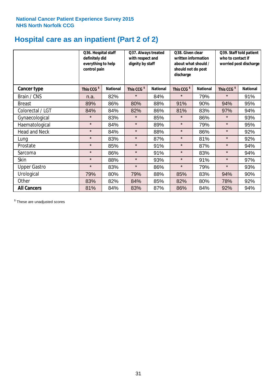# **Hospital care as an inpatient (Part 2 of 2)**

|                      | Q36. Hospital staff<br>definitely did<br>everything to help<br>control pain |                 | Q37. Always treated<br>with respect and<br>dignity by staff |                 | Q38. Given clear<br>written information<br>about what should /<br>should not do post<br>discharge |                 | Q39. Staff told patient<br>who to contact if<br>worried post discharge |                 |
|----------------------|-----------------------------------------------------------------------------|-----------------|-------------------------------------------------------------|-----------------|---------------------------------------------------------------------------------------------------|-----------------|------------------------------------------------------------------------|-----------------|
| Cancer type          | This CCG <sup>\$</sup>                                                      | <b>National</b> | This CCG <sup>\$</sup>                                      | <b>National</b> | This CCG <sup>\$</sup>                                                                            | <b>National</b> | This CCG <sup>\$</sup>                                                 | <b>National</b> |
| Brain / CNS          | n.a.                                                                        | 82%             | $\star$                                                     | 84%             | $\star$                                                                                           | 79%             | $\star$                                                                | 91%             |
| <b>Breast</b>        | 89%                                                                         | 86%             | 80%                                                         | 88%             | 91%                                                                                               | 90%             | 94%                                                                    | 95%             |
| Colorectal / LGT     | 84%                                                                         | 84%             | 82%                                                         | 86%             | 81%                                                                                               | 83%             | 97%                                                                    | 94%             |
| Gynaecological       | $\star$                                                                     | 83%             | $\star$                                                     | 85%             | $\star$                                                                                           | 86%             | $\star$                                                                | 93%             |
| Haematological       | $\star$                                                                     | 84%             | $\star$                                                     | 89%             | $\star$                                                                                           | 79%             | $\star$                                                                | 95%             |
| <b>Head and Neck</b> | $\star$                                                                     | 84%             | $\star$                                                     | 88%             | $\star$                                                                                           | 86%             | $\star$                                                                | 92%             |
| Lung                 | $\star$                                                                     | 83%             | $\star$                                                     | 87%             | $\star$                                                                                           | 81%             | $\star$                                                                | 92%             |
| Prostate             | $\star$                                                                     | 85%             | $\star$                                                     | 91%             | $\star$                                                                                           | 87%             | $\star$                                                                | 94%             |
| Sarcoma              | $\star$                                                                     | 86%             | $\star$                                                     | 91%             | $\star$                                                                                           | 83%             | $\star$                                                                | 94%             |
| Skin                 | $\star$                                                                     | 88%             | $\star$                                                     | 93%             | $\star$                                                                                           | 91%             | $\star$                                                                | 97%             |
| <b>Upper Gastro</b>  | $\star$                                                                     | 83%             | $\star$                                                     | 86%             | $\star$                                                                                           | 79%             | $\star$                                                                | 93%             |
| Urological           | 79%                                                                         | 80%             | 79%                                                         | 88%             | 85%                                                                                               | 83%             | 94%                                                                    | 90%             |
| Other                | 83%                                                                         | 82%             | 84%                                                         | 85%             | 82%                                                                                               | 80%             | 78%                                                                    | 92%             |
| <b>All Cancers</b>   | 81%                                                                         | 84%             | 83%                                                         | 87%             | 86%                                                                                               | 84%             | 92%                                                                    | 94%             |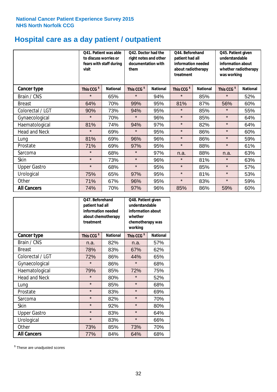# **Hospital care as a day patient / outpatient**

|                      | visit                  | Q41. Patient was able<br>Q42. Doctor had the<br>to discuss worries or<br>right notes and other<br>documentation with<br>fears with staff during<br>them |                        |                 | Q44. Beforehand<br>patient had all<br>information needed<br>about radiotherapy<br>treatment |                 | Q45. Patient given<br>understandable<br>information about<br>whether radiotherapy<br>was working |                 |
|----------------------|------------------------|---------------------------------------------------------------------------------------------------------------------------------------------------------|------------------------|-----------------|---------------------------------------------------------------------------------------------|-----------------|--------------------------------------------------------------------------------------------------|-----------------|
| <b>Cancer type</b>   | This CCG <sup>\$</sup> | <b>National</b>                                                                                                                                         | This CCG <sup>\$</sup> | <b>National</b> | This CCG <sup>\$</sup>                                                                      | <b>National</b> | This CCG <sup>\$</sup>                                                                           | <b>National</b> |
| Brain / CNS          | $\star$                | 65%                                                                                                                                                     | $\star$                | 94%             | $\star$                                                                                     | 85%             | $\star$                                                                                          | 52%             |
| <b>Breast</b>        | 64%                    | 70%                                                                                                                                                     | 99%                    | 95%             | 81%                                                                                         | 87%             | 56%                                                                                              | 60%             |
| Colorectal / LGT     | 90%                    | 73%                                                                                                                                                     | 94%                    | 95%             | $\star$                                                                                     | 85%             | $\star$                                                                                          | 55%             |
| Gynaecological       | $\star$                | 70%                                                                                                                                                     | $\star$                | 96%             | $\star$                                                                                     | 85%             | $\star$                                                                                          | 64%             |
| Haematological       | 81%                    | 74%                                                                                                                                                     | 94%                    | 97%             | $\star$                                                                                     | 82%             | $\star$                                                                                          | 64%             |
| <b>Head and Neck</b> | $\star$                | 69%                                                                                                                                                     | $\star$                | 95%             | $\star$                                                                                     | 86%             | $\star$                                                                                          | 60%             |
| Lung                 | 81%                    | 69%                                                                                                                                                     | 96%                    | 96%             | $\star$                                                                                     | 86%             | $\star$                                                                                          | 59%             |
| Prostate             | 71%                    | 69%                                                                                                                                                     | 97%                    | 95%             | $\star$                                                                                     | 88%             | $\star$                                                                                          | 61%             |
| Sarcoma              | $\star$                | 68%                                                                                                                                                     | $\star$                | 97%             | n.a.                                                                                        | 88%             | n.a.                                                                                             | 63%             |
| Skin                 | $\star$                | 73%                                                                                                                                                     | $\star$                | 96%             | $\star$                                                                                     | 81%             | $\star$                                                                                          | 63%             |
| <b>Upper Gastro</b>  | $\star$                | 68%                                                                                                                                                     | $\star$                | 95%             | $\star$                                                                                     | 85%             | $\star$                                                                                          | 57%             |
| Urological           | 75%                    | 65%                                                                                                                                                     | 97%                    | 95%             | $\star$                                                                                     | 81%             | $\star$                                                                                          | 53%             |
| Other                | 71%                    | 67%                                                                                                                                                     | 96%                    | 95%             | $\star$                                                                                     | 83%             | $\star$                                                                                          | 59%             |
| <b>All Cancers</b>   | 74%                    | 70%                                                                                                                                                     | 97%                    | 96%             | 85%                                                                                         | 86%             | 59%                                                                                              | 60%             |

|                      | O47. Beforehand<br>patient had all<br>information needed<br>about chemotherapy<br>treatment |                 | Q48. Patient given<br>understandable<br>information about<br>whether<br>chemotherapy was<br>working |                 |  |
|----------------------|---------------------------------------------------------------------------------------------|-----------------|-----------------------------------------------------------------------------------------------------|-----------------|--|
| <b>Cancer type</b>   | This CCG <sup>\$</sup>                                                                      | <b>National</b> | This CCG <sup>\$</sup>                                                                              | <b>National</b> |  |
| Brain / CNS          | n.a.                                                                                        | 82%             | n.a.                                                                                                | 57%             |  |
| <b>Breast</b>        | 78%                                                                                         | 83%             | 67%                                                                                                 | 62%             |  |
| Colorectal / LGT     | 72%                                                                                         | 86%             | 44%                                                                                                 | 65%             |  |
| Gynaecological       | $\star$                                                                                     | 86%             | $\star$                                                                                             | 68%             |  |
| Haematological       | 79%                                                                                         | 85%             | 72%                                                                                                 | 75%             |  |
| <b>Head and Neck</b> | $\star$                                                                                     | 80%             | $\star$                                                                                             | 52%             |  |
| Lung                 | $\star$                                                                                     | 85%             | $\star$                                                                                             | 68%             |  |
| Prostate             | $\star$                                                                                     | 83%             | $\star$                                                                                             | 69%             |  |
| Sarcoma              | $\star$                                                                                     | 82%             | $\star$                                                                                             | 70%             |  |
| Skin                 | $\star$                                                                                     | 92%             | $\star$                                                                                             | 80%             |  |
| <b>Upper Gastro</b>  | $\star$                                                                                     | 83%             | $\star$                                                                                             | 64%             |  |
| Urological           | $\star$                                                                                     | 83%             | $\star$                                                                                             | 66%             |  |
| Other                | 73%                                                                                         | 85%             | 73%                                                                                                 | 70%             |  |
| <b>All Cancers</b>   | 77%                                                                                         | 84%             | 64%                                                                                                 | 68%             |  |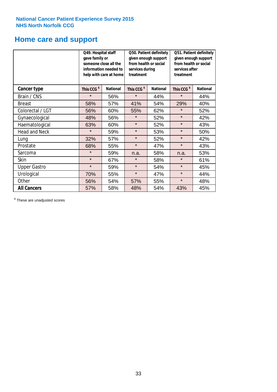# **Home care and support**

|                      | Q49. Hospital staff<br>gave family or<br>someone close all the<br>information needed to<br>help with care at home |                 | from health or social<br>services during<br>treatment | Q50. Patient definitely<br>given enough support | Q51. Patient definitely<br>given enough support<br>from health or social<br>services after<br>treatment |                 |  |
|----------------------|-------------------------------------------------------------------------------------------------------------------|-----------------|-------------------------------------------------------|-------------------------------------------------|---------------------------------------------------------------------------------------------------------|-----------------|--|
| <b>Cancer type</b>   | This CCG <sup>\$</sup>                                                                                            | <b>National</b> | This CCG <sup>\$</sup>                                | <b>National</b>                                 | This CCG <sup>\$</sup>                                                                                  | <b>National</b> |  |
| Brain / CNS          | $\star$                                                                                                           | 56%             | $\star$                                               | 44%                                             | $\star$                                                                                                 | 44%             |  |
| <b>Breast</b>        | 58%                                                                                                               | 57%             | 41%                                                   | 54%                                             | 29%                                                                                                     | 40%             |  |
| Colorectal / LGT     | 56%                                                                                                               | 60%             | 55%                                                   | 62%                                             | $\star$                                                                                                 | 52%             |  |
| Gynaecological       | 48%                                                                                                               | 56%             | $\star$                                               | 52%                                             | $\star$                                                                                                 | 42%             |  |
| Haematological       | 63%                                                                                                               | 60%             | $\star$                                               | 52%                                             | $\star$                                                                                                 | 43%             |  |
| <b>Head and Neck</b> | $\star$                                                                                                           | 59%             | $\star$                                               | 53%                                             | $\star$                                                                                                 | 50%             |  |
| Lung                 | 32%                                                                                                               | 57%             | $\star$                                               | 52%                                             | $\star$                                                                                                 | 42%             |  |
| Prostate             | 68%                                                                                                               | 55%             | $\star$                                               | 47%                                             | $\star$                                                                                                 | 43%             |  |
| Sarcoma              | $\star$                                                                                                           | 59%             | n.a.                                                  | 58%                                             | n.a.                                                                                                    | 53%             |  |
| Skin                 | $\star$                                                                                                           | 67%             | $\star$                                               | 58%                                             | $\star$                                                                                                 | 61%             |  |
| <b>Upper Gastro</b>  | $\star$                                                                                                           | 59%             | $\star$                                               | 54%                                             | $\star$                                                                                                 | 45%             |  |
| Urological           | 70%                                                                                                               | 55%             | $\star$                                               | 47%                                             | $\star$                                                                                                 | 44%             |  |
| Other                | 56%                                                                                                               | 54%             | 57%                                                   | 55%                                             | $\star$                                                                                                 | 48%             |  |
| <b>All Cancers</b>   | 57%                                                                                                               | 58%             | 48%                                                   | 54%                                             | 43%                                                                                                     | 45%             |  |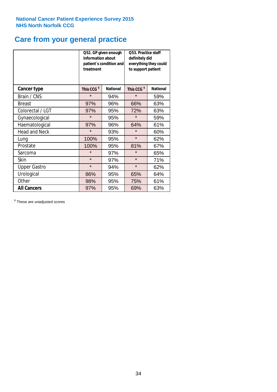# **Care from your general practice**

|                      | information about<br>treatment | Q52. GP given enough<br>patient's condition and | O53. Practice staff<br>definitely did<br>everything they could<br>to support patient |                 |  |
|----------------------|--------------------------------|-------------------------------------------------|--------------------------------------------------------------------------------------|-----------------|--|
| <b>Cancer type</b>   | This CCG <sup>\$</sup>         | <b>National</b>                                 | This CCG <sup>\$</sup>                                                               | <b>National</b> |  |
| Brain / CNS          | $\star$                        | 94%                                             | $\star$                                                                              | 59%             |  |
| <b>Breast</b>        | 97%                            | 96%                                             | 66%                                                                                  | 63%             |  |
| Colorectal / LGT     | 97%                            | 95%                                             | 72%                                                                                  | 63%             |  |
| Gynaecological       | $\star$                        | 95%                                             | $\star$                                                                              | 59%             |  |
| Haematological       | 97%                            | 96%                                             | 64%                                                                                  | 61%             |  |
| <b>Head and Neck</b> | $\star$                        | 93%                                             | $\star$                                                                              | 60%             |  |
| Lung                 | 100%                           | 95%                                             | $\star$                                                                              | 62%             |  |
| Prostate             | 100%                           | 95%                                             | 81%                                                                                  | 67%             |  |
| Sarcoma              | $\star$                        | 97%                                             | $\star$                                                                              | 65%             |  |
| Skin                 | $\star$                        | 97%                                             | $\star$                                                                              | 71%             |  |
| <b>Upper Gastro</b>  | $\star$                        | 94%                                             | $\star$                                                                              | 62%             |  |
| Urological           | 86%                            | 95%                                             | 65%                                                                                  | 64%             |  |
| Other                | 98%                            | 95%                                             | 75%                                                                                  | 61%             |  |
| <b>All Cancers</b>   | 97%                            | 95%                                             | 69%                                                                                  | 63%             |  |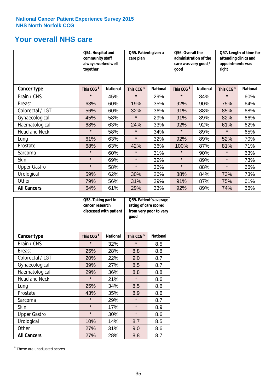# **Your overall NHS care**

|                      | Q54. Hospital and<br>community staff<br>always worked well<br>together |                 | Q55. Patient given a<br>care plan |                 | Q56. Overall the<br>administration of the<br>care was very good /<br>qood |                 | Q57. Length of time for<br>attending clinics and<br>appointments was<br>right |                 |
|----------------------|------------------------------------------------------------------------|-----------------|-----------------------------------|-----------------|---------------------------------------------------------------------------|-----------------|-------------------------------------------------------------------------------|-----------------|
| Cancer type          | This CCG <sup>\$</sup>                                                 | <b>National</b> | This CCG <sup>\$</sup>            | <b>National</b> | This CCG <sup>\$</sup>                                                    | <b>National</b> | This CCG <sup>\$</sup>                                                        | <b>National</b> |
| Brain / CNS          | $\star$                                                                | 45%             | $\star$                           | 29%             | $\star$                                                                   | 84%             | $\star$                                                                       | 60%             |
| <b>Breast</b>        | 63%                                                                    | 60%             | 19%                               | 35%             | 92%                                                                       | 90%             | 75%                                                                           | 64%             |
| Colorectal / LGT     | 56%                                                                    | 60%             | 32%                               | 36%             | 91%                                                                       | 88%             | 85%                                                                           | 68%             |
| Gynaecological       | 45%                                                                    | 58%             | $\star$                           | 29%             | 91%                                                                       | 89%             | 82%                                                                           | 66%             |
| Haematological       | 68%                                                                    | 63%             | 24%                               | 33%             | 92%                                                                       | 92%             | 61%                                                                           | 62%             |
| <b>Head and Neck</b> | $\star$                                                                | 58%             | $\star$                           | 34%             | $\star$                                                                   | 89%             | $\star$                                                                       | 65%             |
| Lung                 | 61%                                                                    | 63%             | $\star$                           | 32%             | 92%                                                                       | 89%             | 52%                                                                           | 70%             |
| Prostate             | 68%                                                                    | 63%             | 42%                               | 36%             | 100%                                                                      | 87%             | 81%                                                                           | 71%             |
| Sarcoma              | $\star$                                                                | 60%             | $\star$                           | 31%             | $\star$                                                                   | 90%             | $\star$                                                                       | 63%             |
| Skin                 | $\star$                                                                | 69%             | $\star$                           | 39%             | $\star$                                                                   | 89%             | $\star$                                                                       | 73%             |
| <b>Upper Gastro</b>  | $\star$                                                                | 58%             | $\star$                           | 36%             | $\star$                                                                   | 88%             | $\star$                                                                       | 66%             |
| Urological           | 59%                                                                    | 62%             | 30%                               | 26%             | 88%                                                                       | 84%             | 73%                                                                           | 73%             |
| Other                | 79%                                                                    | 56%             | 31%                               | 29%             | 91%                                                                       | 87%             | 75%                                                                           | 61%             |
| <b>All Cancers</b>   | 64%                                                                    | 61%             | 29%                               | 33%             | 92%                                                                       | 89%             | 74%                                                                           | 66%             |

|                      | Q58. Taking part in<br>cancer research | discussed with patient | Q59. Patient's average<br>rating of care scored<br>from very poor to very<br>good |                 |  |
|----------------------|----------------------------------------|------------------------|-----------------------------------------------------------------------------------|-----------------|--|
| <b>Cancer type</b>   | This CCG <sup>\$</sup>                 | <b>National</b>        | This CCG <sup>\$</sup>                                                            | <b>National</b> |  |
| Brain / CNS          | $\star$                                | 32%                    | $\star$                                                                           | 8.5             |  |
| <b>Breast</b>        | 25%                                    | 28%                    | 8.8                                                                               | 8.8             |  |
| Colorectal / LGT     | 20%                                    | 22%                    | 9.0                                                                               | 8.7             |  |
| Gynaecological       | 39%                                    | 27%                    | 8.5                                                                               | 8.7             |  |
| Haematological       | 29%                                    | 36%                    | 8.8                                                                               | 8.8             |  |
| <b>Head and Neck</b> | $\star$                                | 21%                    | $\star$                                                                           | 8.6             |  |
| Lung                 | 25%                                    | 34%                    | 8.5                                                                               | 8.6             |  |
| Prostate             | 43%                                    | 35%                    | 8.9                                                                               | 8.6             |  |
| Sarcoma              | $\star$                                | 29%                    | $\star$                                                                           | 8.7             |  |
| Skin                 | $\star$                                | 17%                    | $\star$                                                                           | 8.9             |  |
| <b>Upper Gastro</b>  | $\star$                                | 30%                    | $\star$                                                                           | 8.6             |  |
| Urological           | 10%                                    | 14%                    | 8.7                                                                               | 8.5             |  |
| Other                | 27%                                    | 31%                    | 9.0                                                                               | 8.6             |  |
| <b>All Cancers</b>   | 27%                                    | 28%                    | 8.8                                                                               | 8.7             |  |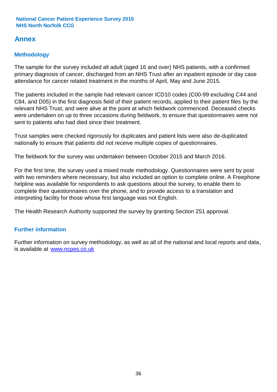# **Annex**

# **Methodology**

The sample for the survey included all adult (aged 16 and over) NHS patients, with a confirmed primary diagnosis of cancer, discharged from an NHS Trust after an inpatient episode or day case attendance for cancer related treatment in the months of April, May and June 2015.

The patients included in the sample had relevant cancer ICD10 codes (C00-99 excluding C44 and C84, and D05) in the first diagnosis field of their patient records, applied to their patient files by the relevant NHS Trust, and were alive at the point at which fieldwork commenced. Deceased checks were undertaken on up to three occasions during fieldwork, to ensure that questionnaires were not sent to patients who had died since their treatment.

Trust samples were checked rigorously for duplicates and patient lists were also de-duplicated nationally to ensure that patients did not receive multiple copies of questionnaires.

The fieldwork for the survey was undertaken between October 2015 and March 2016.

For the first time, the survey used a mixed mode methodology. Questionnaires were sent by post with two reminders where necesssary, but also included an option to complete online. A Freephone helpline was available for respondents to ask questions about the survey, to enable them to complete their questionnaires over the phone, and to provide access to a translation and interpreting facility for those whose first language was not English.

The Health Research Authority supported the survey by granting Section 251 approval.

# **Further information**

Further information on survey methodology, as well as all of the national and local reports and data, is available at www.ncpes.co.uk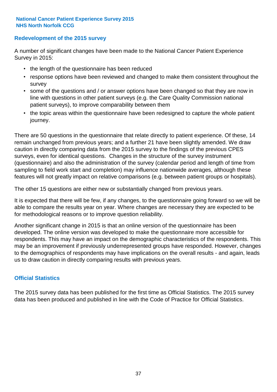### **Redevelopment of the 2015 survey**

A number of significant changes have been made to the National Cancer Patient Experience Survey in 2015:

- the length of the questionnaire has been reduced
- response options have been reviewed and changed to make them consistent throughout the survey
- some of the questions and / or answer options have been changed so that they are now in line with questions in other patient surveys (e.g. the Care Quality Commission national patient surveys), to improve comparability between them
- the topic areas within the questionnaire have been redesigned to capture the whole patient journey.

There are 50 questions in the questionnaire that relate directly to patient experience. Of these, 14 remain unchanged from previous years; and a further 21 have been slightly amended. We draw caution in directly comparing data from the 2015 survey to the findings of the previous CPES surveys, even for identical questions. Changes in the structure of the survey instrument (questionnaire) and also the administration of the survey (calendar period and length of time from sampling to field work start and completion) may influence nationwide averages, although these features will not greatly impact on relative comparisons (e.g. between patient groups or hospitals).

The other 15 questions are either new or substantially changed from previous years.

It is expected that there will be few, if any changes, to the questionnaire going forward so we will be able to compare the results year on year. Where changes are necessary they are expected to be for methodological reasons or to improve question reliability.

Another significant change in 2015 is that an online version of the questionnaire has been developed. The online version was developed to make the questionnaire more accessible for respondents. This may have an impact on the demographic characteristics of the respondents. This may be an improvement if previously underrepresented groups have responded. However, changes to the demographics of respondents may have implications on the overall results - and again, leads us to draw caution in directly comparing results with previous years.

### **Official Statistics**

The 2015 survey data has been published for the first time as Official Statistics. The 2015 survey data has been produced and published in line with the Code of Practice for Official Statistics.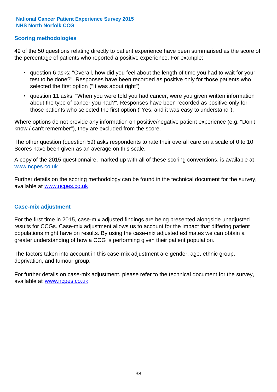### **Scoring methodologies**

49 of the 50 questions relating directly to patient experience have been summarised as the score of the percentage of patients who reported a positive experience. For example:

- question 6 asks: "Overall, how did you feel about the length of time you had to wait for your test to be done?". Responses have been recorded as positive only for those patients who selected the first option ("It was about right")
- question 11 asks: "When you were told you had cancer, were you given written information about the type of cancer you had?". Responses have been recorded as positive only for those patients who selected the first option ("Yes, and it was easy to understand").

Where options do not provide any information on positive/negative patient experience (e.g. "Don't know / can't remember"), they are excluded from the score.

The other question (question 59) asks respondents to rate their overall care on a scale of 0 to 10. Scores have been given as an average on this scale.

A copy of the 2015 questionnaire, marked up with all of these scoring conventions, is available at www.ncpes.co.uk

Further details on the scoring methodology can be found in the technical document for the survey, available at <u>www.ncpes.co.uk</u>

#### **Case-mix adjustment**

For the first time in 2015, case-mix adjusted findings are being presented alongside unadjusted results for CCGs. Case-mix adjustment allows us to account for the impact that differing patient populations might have on results. By using the case-mix adjusted estimates we can obtain a greater understanding of how a CCG is performing given their patient population.

The factors taken into account in this case-mix adjustment are gender, age, ethnic group, deprivation, and tumour group.

For further details on case-mix adjustment, please refer to the technical document for the survey, available at www.ncpes.co.uk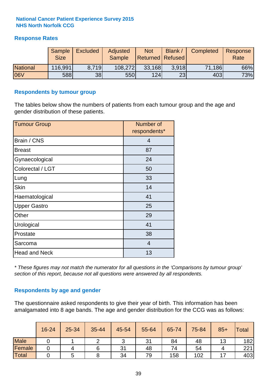### **Response Rates**

|                 | Sample<br><b>Size</b> | <b>Excluded</b> | Adjusted<br><b>Sample</b> | <b>Not</b><br><b>Returned Refused</b> | <b>Blank</b> | Completed | Response<br>Rate |
|-----------------|-----------------------|-----------------|---------------------------|---------------------------------------|--------------|-----------|------------------|
| <b>National</b> | 116,991               | 8.719           | 108,272                   | 33,168                                | 3.918        | 71,186    | 66%              |
| 06V             | 588                   | 38              | <b>550</b>                | 124                                   | 23           | 403       | 73%              |

#### **Respondents by tumour group**

The tables below show the numbers of patients from each tumour group and the age and gender distribution of these patients.

| <b>Tumour Group</b>  | Number of<br>respondents* |
|----------------------|---------------------------|
| Brain / CNS          | 4                         |
| <b>Breast</b>        | 87                        |
| Gynaecological       | 24                        |
| Colorectal / LGT     | 50                        |
| Lung                 | 33                        |
| <b>Skin</b>          | 14                        |
| Haematological       | 41                        |
| <b>Upper Gastro</b>  | 25                        |
| Other                | 29                        |
| Urological           | 41                        |
| Prostate             | 38                        |
| Sarcoma              | $\overline{4}$            |
| <b>Head and Neck</b> | 13                        |

*\* These figures may not match the numerator for all questions in the 'Comparisons by tumour group' section of this report, because not all questions were answered by all respondents.*

### **Respondents by age and gender**

The questionnaire asked respondents to give their year of birth. This information has been amalgamated into 8 age bands. The age and gender distribution for the CCG was as follows:

|             | 16-24 | $25 - 34$ | 35-44 | 45-54 | 55-64 | 65-74 | 75-84 | $85+$ | Total |
|-------------|-------|-----------|-------|-------|-------|-------|-------|-------|-------|
| <b>Male</b> |       |           |       | ັ     | 31    | 84    | 48    | 13    | 182   |
| Female      |       |           |       | 31    | 48    | 74    | 54    |       | 221   |
| Total       |       |           |       | 34    | 79    | 158   | 102   |       | 403   |